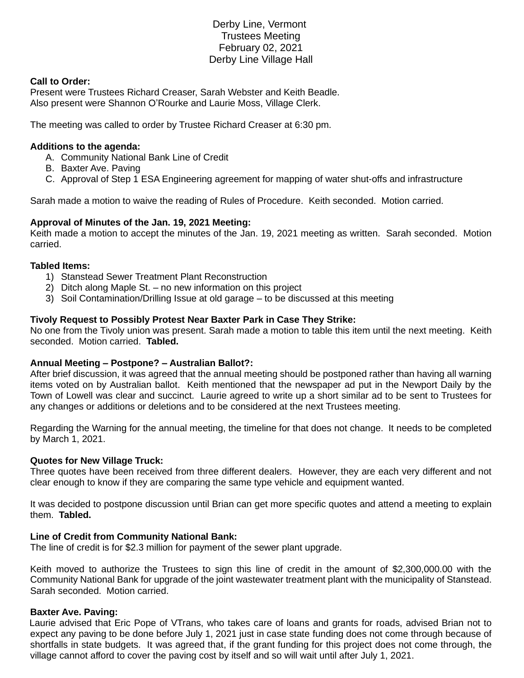# Derby Line, Vermont Trustees Meeting February 02, 2021 Derby Line Village Hall

## **Call to Order:**

Present were Trustees Richard Creaser, Sarah Webster and Keith Beadle. Also present were Shannon O'Rourke and Laurie Moss, Village Clerk.

The meeting was called to order by Trustee Richard Creaser at 6:30 pm.

## **Additions to the agenda:**

- A. Community National Bank Line of Credit
- B. Baxter Ave. Paving
- C. Approval of Step 1 ESA Engineering agreement for mapping of water shut-offs and infrastructure

Sarah made a motion to waive the reading of Rules of Procedure. Keith seconded. Motion carried.

## **Approval of Minutes of the Jan. 19, 2021 Meeting:**

Keith made a motion to accept the minutes of the Jan. 19, 2021 meeting as written. Sarah seconded. Motion carried.

#### **Tabled Items:**

- 1) Stanstead Sewer Treatment Plant Reconstruction
- 2) Ditch along Maple St. no new information on this project
- 3) Soil Contamination/Drilling Issue at old garage to be discussed at this meeting

## **Tivoly Request to Possibly Protest Near Baxter Park in Case They Strike:**

No one from the Tivoly union was present. Sarah made a motion to table this item until the next meeting. Keith seconded. Motion carried. **Tabled.**

#### **Annual Meeting – Postpone? – Australian Ballot?:**

After brief discussion, it was agreed that the annual meeting should be postponed rather than having all warning items voted on by Australian ballot. Keith mentioned that the newspaper ad put in the Newport Daily by the Town of Lowell was clear and succinct. Laurie agreed to write up a short similar ad to be sent to Trustees for any changes or additions or deletions and to be considered at the next Trustees meeting.

Regarding the Warning for the annual meeting, the timeline for that does not change. It needs to be completed by March 1, 2021.

#### **Quotes for New Village Truck:**

Three quotes have been received from three different dealers. However, they are each very different and not clear enough to know if they are comparing the same type vehicle and equipment wanted.

It was decided to postpone discussion until Brian can get more specific quotes and attend a meeting to explain them. **Tabled.**

#### **Line of Credit from Community National Bank:**

The line of credit is for \$2.3 million for payment of the sewer plant upgrade.

Keith moved to authorize the Trustees to sign this line of credit in the amount of \$2,300,000.00 with the Community National Bank for upgrade of the joint wastewater treatment plant with the municipality of Stanstead. Sarah seconded. Motion carried.

#### **Baxter Ave. Paving:**

Laurie advised that Eric Pope of VTrans, who takes care of loans and grants for roads, advised Brian not to expect any paving to be done before July 1, 2021 just in case state funding does not come through because of shortfalls in state budgets. It was agreed that, if the grant funding for this project does not come through, the village cannot afford to cover the paving cost by itself and so will wait until after July 1, 2021.